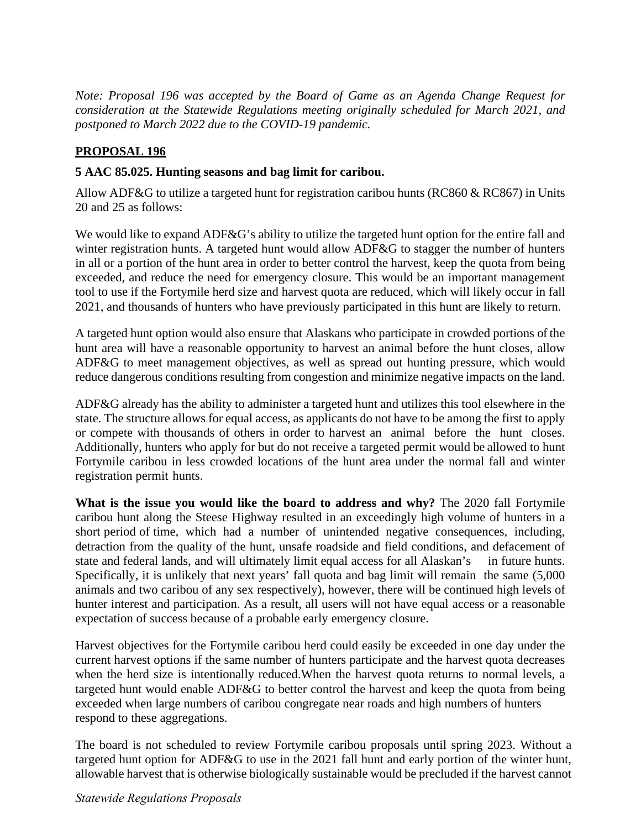*Note: Proposal 196 was accepted by the Board of Game as an Agenda Change Request for consideration at the Statewide Regulations meeting originally scheduled for March 2021, and postponed to March 2022 due to the COVID-19 pandemic.* 

## **PROPOSAL 196**

## **5 AAC 85.025. Hunting seasons and bag limit for caribou.**

Allow ADF&G to utilize a targeted hunt for registration caribou hunts (RC860 & RC867) in Units 20 and 25 as follows:

We would like to expand ADF&G's ability to utilize the targeted hunt option for the entire fall and winter registration hunts. A targeted hunt would allow ADF&G to stagger the number of hunters in all or a portion of the hunt area in order to better control the harvest, keep the quota from being exceeded, and reduce the need for emergency closure. This would be an important management tool to use if the Fortymile herd size and harvest quota are reduced, which will likely occur in fall 2021, and thousands of hunters who have previously participated in this hunt are likely to return.

 hunt area will have a reasonable opportunity to harvest an animal before the hunt closes, allow A targeted hunt option would also ensure that Alaskans who participate in crowded portions of the ADF&G to meet management objectives, as well as spread out hunting pressure, which would reduce dangerous conditions resulting from congestion and minimize negative impacts on the land.

 or compete with thousands of others in order to harvest an animal before the hunt closes. ADF&G already has the ability to administer a targeted hunt and utilizes this tool elsewhere in the state. The structure allows for equal access, as applicants do not have to be among the first to apply Additionally, hunters who apply for but do not receive a targeted permit would be allowed to hunt Fortymile caribou in less crowded locations of the hunt area under the normal fall and winter registration permit hunts.

 **What is the issue you would like the board to address and why?** The 2020 fall Fortymile short period of time, which had a number of unintended negative consequences, including, state and federal lands, and will ultimately limit equal access for all Alaskan's in future hunts. hunter interest and participation. As a result, all users will not have equal access or a reasonable caribou hunt along the Steese Highway resulted in an exceedingly high volume of hunters in a detraction from the quality of the hunt, unsafe roadside and field conditions, and defacement of Specifically, it is unlikely that next years' fall quota and bag limit will remain the same (5,000 animals and two caribou of any sex respectively), however, there will be continued high levels of expectation of success because of a probable early emergency closure.

Harvest objectives for the Fortymile caribou herd could easily be exceeded in one day under the current harvest options if the same number of hunters participate and the harvest quota decreases when the herd size is intentionally reduced.When the harvest quota returns to normal levels, a targeted hunt would enable ADF&G to better control the harvest and keep the quota from being exceeded when large numbers of caribou congregate near roads and high numbers of hunters respond to these aggregations.

The board is not scheduled to review Fortymile caribou proposals until spring 2023. Without a targeted hunt option for ADF&G to use in the 2021 fall hunt and early portion of the winter hunt, allowable harvest that is otherwise biologically sustainable would be precluded if the harvest cannot